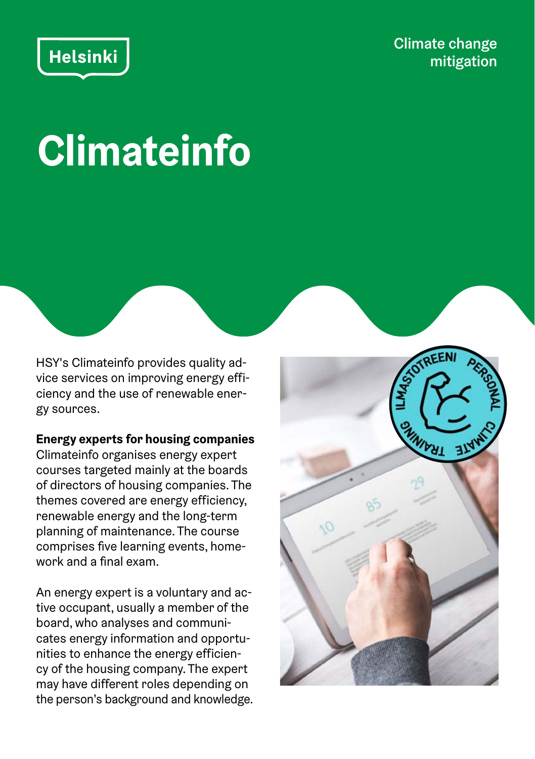# Helsinki

Climate change mitigation

# **Climateinfo**

HSY's Climateinfo provides quality advice services on improving energy efficiency and the use of renewable energy sources.

#### **Energy experts for housing companies**

Climateinfo organises energy expert courses targeted mainly at the boards of directors of housing companies. The themes covered are energy efficiency, renewable energy and the long-term planning of maintenance. The course comprises five learning events, homework and a final exam.

An energy expert is a voluntary and active occupant, usually a member of the board, who analyses and communicates energy information and opportunities to enhance the energy efficiency of the housing company. The expert may have different roles depending on the person's background and knowledge.